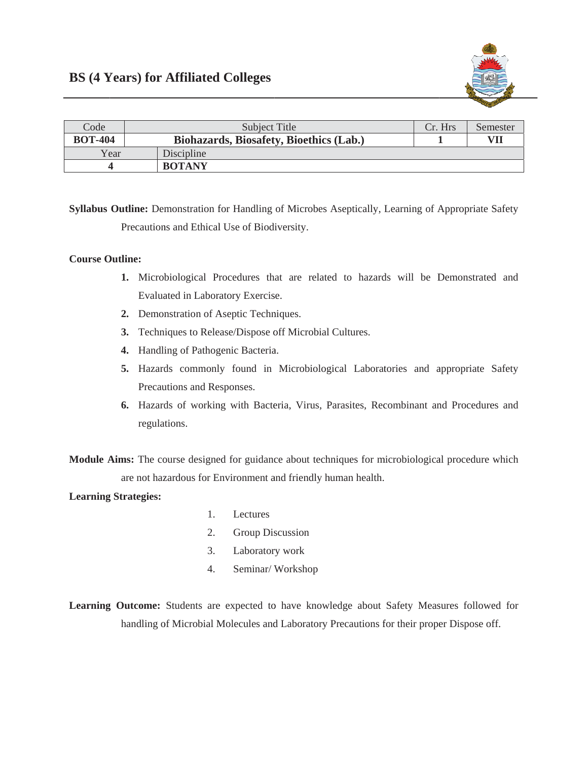

| Code           | Subject Title                                  | Cr. Hrs | Semester |
|----------------|------------------------------------------------|---------|----------|
| <b>BOT-404</b> | <b>Biohazards, Biosafety, Bioethics (Lab.)</b> |         | VII      |
| Year           | Discipline                                     |         |          |
|                | <b>BOTANY</b>                                  |         |          |

Syllabus Outline: Demonstration for Handling of Microbes Aseptically, Learning of Appropriate Safety Precautions and Ethical Use of Biodiversity.

## **Course Outline:**

- 1. Microbiological Procedures that are related to hazards will be Demonstrated and Evaluated in Laboratory Exercise.
- 2. Demonstration of Aseptic Techniques.
- 3. Techniques to Release/Dispose off Microbial Cultures.
- 4. Handling of Pathogenic Bacteria.
- 5. Hazards commonly found in Microbiological Laboratories and appropriate Safety Precautions and Responses.
- 6. Hazards of working with Bacteria, Virus, Parasites, Recombinant and Procedures and regulations.

Module Aims: The course designed for guidance about techniques for microbiological procedure which are not hazardous for Environment and friendly human health.

## **Learning Strategies:**

- $1.$ Lectures
- $2.$ Group Discussion
- $3.$ Laboratory work
- 4. Seminar/Workshop

Learning Outcome: Students are expected to have knowledge about Safety Measures followed for handling of Microbial Molecules and Laboratory Precautions for their proper Dispose off.